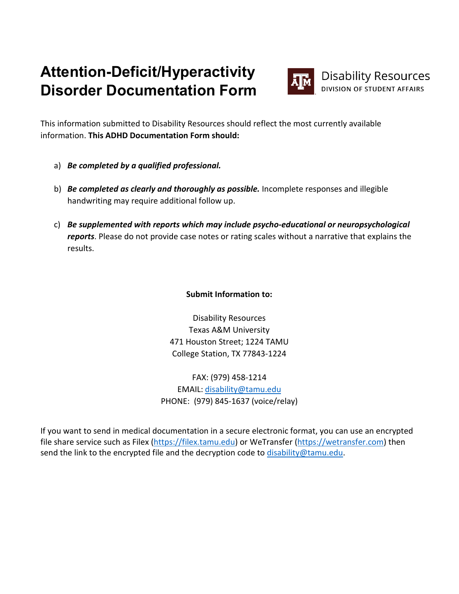# **Attention-Deficit/Hyperactivity Disorder Documentation Form**



This information submitted to Disability Resources should reflect the most currently available information. **This ADHD Documentation Form should:**

- a) *Be completed by a qualified professional.*
- b) *Be completed as clearly and thoroughly as possible.* Incomplete responses and illegible handwriting may require additional follow up.
- c) *Be supplemented with reports which may include psycho-educational or neuropsychological reports*. Please do not provide case notes or rating scales without a narrative that explains the results.

# **Submit Information to:**

Disability Resources Texas A&M University 471 Houston Street; 1224 TAMU College Station, TX 77843-1224

FAX: (979) 458-1214 EMAIL: [disability@tamu.edu](mailto:disability@tamu.edu) PHONE: (979) 845-1637 (voice/relay)

If you want to send in medical documentation in a secure electronic format, you can use an encrypted file share service such as Filex [\(https://filex.tamu.edu\)](https://filex.tamu.edu/) or WeTransfer [\(https://wetransfer.com\)](https://wetransfer.com/) then send the link to the encrypted file and the decryption code to [disability@tamu.edu.](mailto:disability@tamu.edu)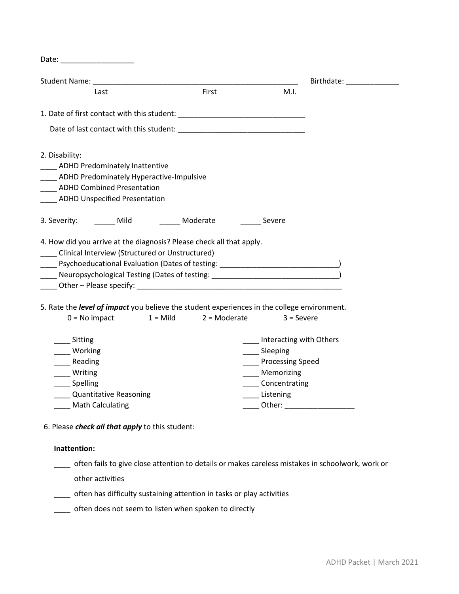|                                                                      |                        |                                                                                                                                                                                                                                                                                                                    |                                   |              | Birthdate: ______________       |
|----------------------------------------------------------------------|------------------------|--------------------------------------------------------------------------------------------------------------------------------------------------------------------------------------------------------------------------------------------------------------------------------------------------------------------|-----------------------------------|--------------|---------------------------------|
| Last                                                                 |                        | First                                                                                                                                                                                                                                                                                                              |                                   | M.I.         |                                 |
|                                                                      |                        | 1. Date of first contact with this student: Learning and the contract of the contract of the contract of the contract of the contract of the contract of the contract of the contract of the contract of the contract of the c                                                                                     |                                   |              |                                 |
|                                                                      |                        | Date of last contact with this student: National Contract of last contact with this student:                                                                                                                                                                                                                       |                                   |              |                                 |
| 2. Disability:                                                       |                        |                                                                                                                                                                                                                                                                                                                    |                                   |              |                                 |
| <b>EXAGREE ADHD Predominately Inattentive</b>                        |                        |                                                                                                                                                                                                                                                                                                                    |                                   |              |                                 |
| ADHD Predominately Hyperactive-Impulsive                             |                        |                                                                                                                                                                                                                                                                                                                    |                                   |              |                                 |
| <b>ADHD Combined Presentation</b>                                    |                        |                                                                                                                                                                                                                                                                                                                    |                                   |              |                                 |
| ___ ADHD Unspecified Presentation                                    |                        |                                                                                                                                                                                                                                                                                                                    |                                   |              |                                 |
|                                                                      |                        |                                                                                                                                                                                                                                                                                                                    |                                   |              |                                 |
|                                                                      |                        | Moderate<br>4. How did you arrive at the diagnosis? Please check all that apply.                                                                                                                                                                                                                                   | Severe                            |              |                                 |
| 3. Severity: Mild<br>Clinical Interview (Structured or Unstructured) |                        | ____ Neuropsychological Testing (Dates of testing: _____________________________<br>Other – Please specify: North Contract and Contract of the Contract of the Contract of the Contract of the Contract of the Contract of the Contract of the Contract of the Contract of the Contract of the Contract of the Con |                                   |              |                                 |
|                                                                      |                        |                                                                                                                                                                                                                                                                                                                    |                                   |              |                                 |
| $0 = No$ impact                                                      |                        | 5. Rate the level of impact you believe the student experiences in the college environment.<br>$1 =$ Mild $2 =$ Moderate                                                                                                                                                                                           |                                   | $3 =$ Severe |                                 |
| __ Sitting                                                           |                        |                                                                                                                                                                                                                                                                                                                    |                                   |              | Interacting with Others         |
| Working                                                              |                        |                                                                                                                                                                                                                                                                                                                    | _____ Sleeping                    |              |                                 |
| Reading                                                              |                        |                                                                                                                                                                                                                                                                                                                    | <b>Example 2 Processing Speed</b> |              |                                 |
| Writing                                                              |                        |                                                                                                                                                                                                                                                                                                                    | Memorizing                        |              |                                 |
| _____ Spelling                                                       |                        |                                                                                                                                                                                                                                                                                                                    | _____Concentrating                |              |                                 |
| ___ Math Calculating                                                 | Quantitative Reasoning |                                                                                                                                                                                                                                                                                                                    | Listening                         |              | Other: ________________________ |

## **Inattention:**

\_\_\_\_ often fails to give close attention to details or makes careless mistakes in schoolwork, work or

other activities

\_\_\_\_ often has difficulty sustaining attention in tasks or play activities

\_\_\_\_ often does not seem to listen when spoken to directly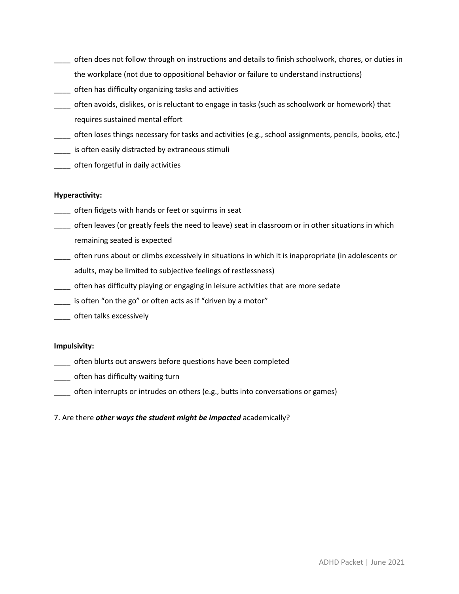- \_\_\_\_ often does not follow through on instructions and details to finish schoolwork, chores, or duties in the workplace (not due to oppositional behavior or failure to understand instructions)
- \_\_\_\_ often has difficulty organizing tasks and activities
- \_\_\_\_ often avoids, dislikes, or is reluctant to engage in tasks (such as schoolwork or homework) that requires sustained mental effort
- \_\_\_\_ often loses things necessary for tasks and activities (e.g., school assignments, pencils, books, etc.)
- \_\_\_\_ is often easily distracted by extraneous stimuli
- \_\_\_\_ often forgetful in daily activities

#### **Hyperactivity:**

- \_\_\_\_ often fidgets with hands or feet or squirms in seat
- \_\_\_\_ often leaves (or greatly feels the need to leave) seat in classroom or in other situations in which remaining seated is expected
- \_\_\_\_ often runs about or climbs excessively in situations in which it is inappropriate (in adolescents or adults, may be limited to subjective feelings of restlessness)
- \_\_\_\_ often has difficulty playing or engaging in leisure activities that are more sedate
- \_\_\_\_ is often "on the go" or often acts as if "driven by a motor"
- \_\_\_\_ often talks excessively

#### **Impulsivity:**

- \_\_\_\_ often blurts out answers before questions have been completed
- \_\_\_\_ often has difficulty waiting turn
- \_\_\_\_ often interrupts or intrudes on others (e.g., butts into conversations or games)
- 7. Are there *other ways the student might be impacted* academically?